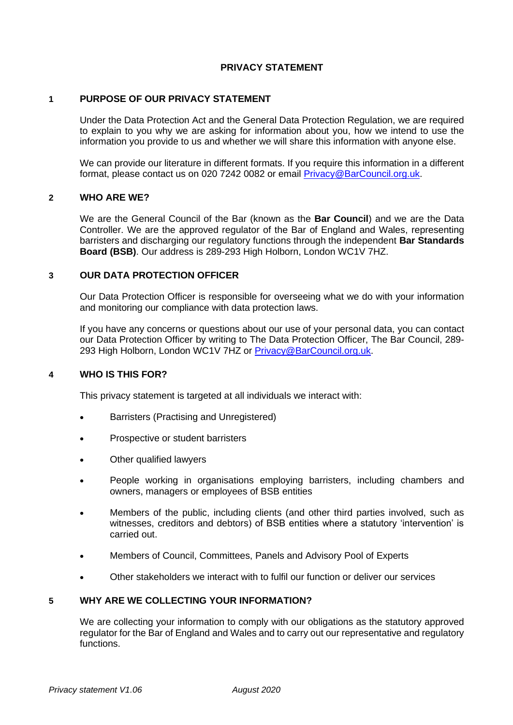## **PRIVACY STATEMENT**

## **1 PURPOSE OF OUR PRIVACY STATEMENT**

Under the Data Protection Act and the General Data Protection Regulation, we are required to explain to you why we are asking for information about you, how we intend to use the information you provide to us and whether we will share this information with anyone else.

We can provide our literature in different formats. If you require this information in a different format, please contact us on 020 7242 0082 or email [Privacy@BarCouncil.org.uk.](mailto:Privacy@BarCouncil.org.uk)

# **2 WHO ARE WE?**

We are the General Council of the Bar (known as the **Bar Council**) and we are the Data Controller. We are the approved regulator of the Bar of England and Wales, representing barristers and discharging our regulatory functions through the independent **Bar Standards Board (BSB)**. Our address is 289-293 High Holborn, London WC1V 7HZ.

### **3 OUR DATA PROTECTION OFFICER**

Our Data Protection Officer is responsible for overseeing what we do with your information and monitoring our compliance with data protection laws.

If you have any concerns or questions about our use of your personal data, you can contact our Data Protection Officer by writing to The Data Protection Officer, The Bar Council, 289- 293 High Holborn, London WC1V 7HZ or [Privacy@BarCouncil.org.uk.](mailto:Privacy@BarCouncil.org.uk)

### **4 WHO IS THIS FOR?**

This privacy statement is targeted at all individuals we interact with:

- Barristers (Practising and Unregistered)
- Prospective or student barristers
- Other qualified lawyers
- People working in organisations employing barristers, including chambers and owners, managers or employees of BSB entities
- Members of the public, including clients (and other third parties involved, such as witnesses, creditors and debtors) of BSB entities where a statutory 'intervention' is carried out.
- Members of Council, Committees, Panels and Advisory Pool of Experts
- Other stakeholders we interact with to fulfil our function or deliver our services

## **5 WHY ARE WE COLLECTING YOUR INFORMATION?**

We are collecting your information to comply with our obligations as the statutory approved regulator for the Bar of England and Wales and to carry out our representative and regulatory functions.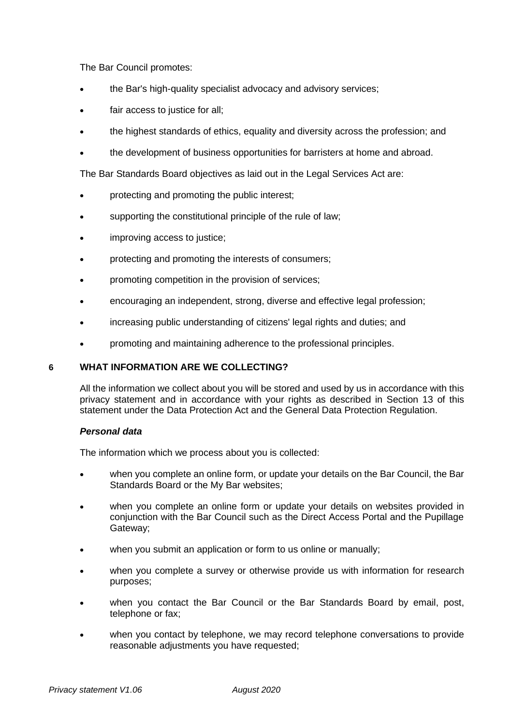The Bar Council promotes:

- the Bar's high-quality specialist advocacy and advisory services;
- fair access to justice for all;
- the highest standards of ethics, equality and diversity across the profession; and
- the development of business opportunities for barristers at home and abroad.

The Bar Standards Board objectives as laid out in the Legal Services Act are:

- protecting and promoting the public interest;
- supporting the constitutional principle of the rule of law;
- improving access to justice;
- protecting and promoting the interests of consumers;
- promoting competition in the provision of services;
- encouraging an independent, strong, diverse and effective legal profession;
- increasing public understanding of citizens' legal rights and duties; and
- promoting and maintaining adherence to the professional principles.

## **6 WHAT INFORMATION ARE WE COLLECTING?**

All the information we collect about you will be stored and used by us in accordance with this privacy statement and in accordance with your rights as described in Section 13 of this statement under the Data Protection Act and the General Data Protection Regulation.

## *Personal data*

The information which we process about you is collected:

- when you complete an online form, or update your details on the Bar Council, the Bar Standards Board or the My Bar websites;
- when you complete an online form or update your details on websites provided in conjunction with the Bar Council such as the Direct Access Portal and the Pupillage Gateway;
- when you submit an application or form to us online or manually;
- when you complete a survey or otherwise provide us with information for research purposes;
- when you contact the Bar Council or the Bar Standards Board by email, post, telephone or fax;
- when you contact by telephone, we may record telephone conversations to provide reasonable adjustments you have requested;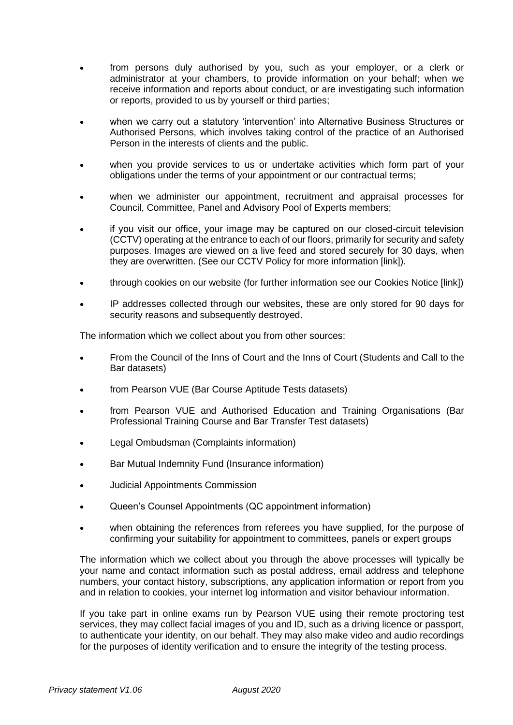- from persons duly authorised by you, such as your employer, or a clerk or administrator at your chambers, to provide information on your behalf; when we receive information and reports about conduct, or are investigating such information or reports, provided to us by yourself or third parties;
- when we carry out a statutory 'intervention' into Alternative Business Structures or Authorised Persons, which involves taking control of the practice of an Authorised Person in the interests of clients and the public.
- when you provide services to us or undertake activities which form part of your obligations under the terms of your appointment or our contractual terms;
- when we administer our appointment, recruitment and appraisal processes for Council, Committee, Panel and Advisory Pool of Experts members;
- if you visit our office, your image may be captured on our closed-circuit television (CCTV) operating at the entrance to each of our floors, primarily for security and safety purposes. Images are viewed on a live feed and stored securely for 30 days, when they are overwritten. (See our CCTV Policy for more information [link]).
- through cookies on our website (for further information see our Cookies Notice [link])
- IP addresses collected through our websites, these are only stored for 90 days for security reasons and subsequently destroyed.

The information which we collect about you from other sources:

- From the Council of the Inns of Court and the Inns of Court (Students and Call to the Bar datasets)
- from Pearson VUE (Bar Course Aptitude Tests datasets)
- from Pearson VUE and Authorised Education and Training Organisations (Bar Professional Training Course and Bar Transfer Test datasets)
- Legal Ombudsman (Complaints information)
- Bar Mutual Indemnity Fund (Insurance information)
- Judicial Appointments Commission
- Queen's Counsel Appointments (QC appointment information)
- when obtaining the references from referees you have supplied, for the purpose of confirming your suitability for appointment to committees, panels or expert groups

The information which we collect about you through the above processes will typically be your name and contact information such as postal address, email address and telephone numbers, your contact history, subscriptions, any application information or report from you and in relation to cookies, your internet log information and visitor behaviour information.

If you take part in online exams run by Pearson VUE using their remote proctoring test services, they may collect facial images of you and ID, such as a driving licence or passport, to authenticate your identity, on our behalf. They may also make video and audio recordings for the purposes of identity verification and to ensure the integrity of the testing process.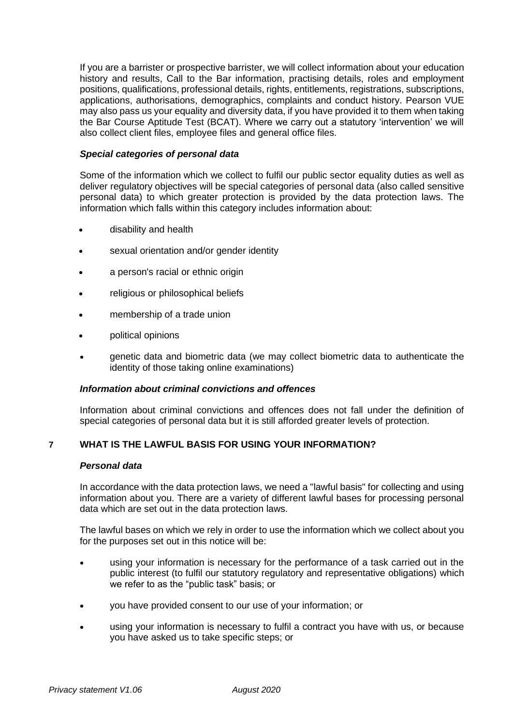If you are a barrister or prospective barrister, we will collect information about your education history and results, Call to the Bar information, practising details, roles and employment positions, qualifications, professional details, rights, entitlements, registrations, subscriptions, applications, authorisations, demographics, complaints and conduct history. Pearson VUE may also pass us your equality and diversity data, if you have provided it to them when taking the Bar Course Aptitude Test (BCAT). Where we carry out a statutory 'intervention' we will also collect client files, employee files and general office files.

### *Special categories of personal data*

Some of the information which we collect to fulfil our public sector equality duties as well as deliver regulatory objectives will be special categories of personal data (also called sensitive personal data) to which greater protection is provided by the data protection laws. The information which falls within this category includes information about:

- disability and health
- sexual orientation and/or gender identity
- a person's racial or ethnic origin
- religious or philosophical beliefs
- membership of a trade union
- political opinions
- genetic data and biometric data (we may collect biometric data to authenticate the identity of those taking online examinations)

### *Information about criminal convictions and offences*

Information about criminal convictions and offences does not fall under the definition of special categories of personal data but it is still afforded greater levels of protection.

## **7 WHAT IS THE LAWFUL BASIS FOR USING YOUR INFORMATION?**

### *Personal data*

In accordance with the data protection laws, we need a "lawful basis" for collecting and using information about you. There are a variety of different lawful bases for processing personal data which are set out in the data protection laws.

The lawful bases on which we rely in order to use the information which we collect about you for the purposes set out in this notice will be:

- using your information is necessary for the performance of a task carried out in the public interest (to fulfil our statutory regulatory and representative obligations) which we refer to as the "public task" basis; or
- you have provided consent to our use of your information; or
- using your information is necessary to fulfil a contract you have with us, or because you have asked us to take specific steps; or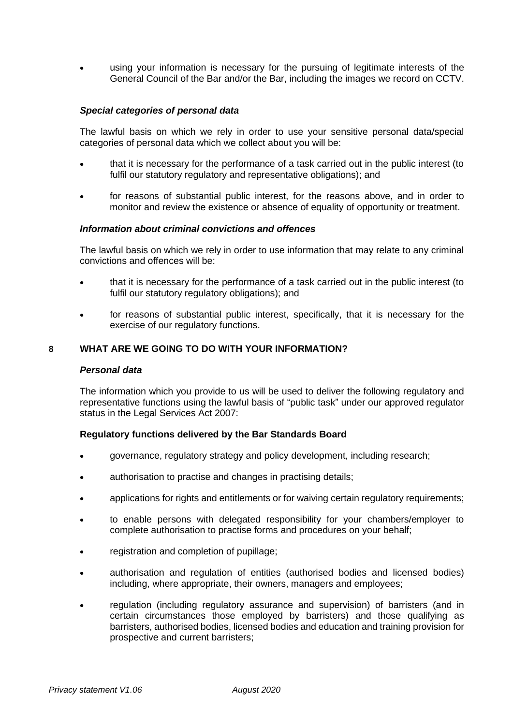• using your information is necessary for the pursuing of legitimate interests of the General Council of the Bar and/or the Bar, including the images we record on CCTV.

### *Special categories of personal data*

The lawful basis on which we rely in order to use your sensitive personal data/special categories of personal data which we collect about you will be:

- that it is necessary for the performance of a task carried out in the public interest (to fulfil our statutory regulatory and representative obligations); and
- for reasons of substantial public interest, for the reasons above, and in order to monitor and review the existence or absence of equality of opportunity or treatment.

### *Information about criminal convictions and offences*

The lawful basis on which we rely in order to use information that may relate to any criminal convictions and offences will be:

- that it is necessary for the performance of a task carried out in the public interest (to fulfil our statutory regulatory obligations); and
- for reasons of substantial public interest, specifically, that it is necessary for the exercise of our regulatory functions.

## **8 WHAT ARE WE GOING TO DO WITH YOUR INFORMATION?**

### *Personal data*

The information which you provide to us will be used to deliver the following regulatory and representative functions using the lawful basis of "public task" under our approved regulator status in the Legal Services Act 2007:

### **Regulatory functions delivered by the Bar Standards Board**

- governance, regulatory strategy and policy development, including research;
- authorisation to practise and changes in practising details;
- applications for rights and entitlements or for waiving certain regulatory requirements;
- to enable persons with delegated responsibility for your chambers/employer to complete authorisation to practise forms and procedures on your behalf;
- registration and completion of pupillage;
- authorisation and regulation of entities (authorised bodies and licensed bodies) including, where appropriate, their owners, managers and employees;
- regulation (including regulatory assurance and supervision) of barristers (and in certain circumstances those employed by barristers) and those qualifying as barristers, authorised bodies, licensed bodies and education and training provision for prospective and current barristers;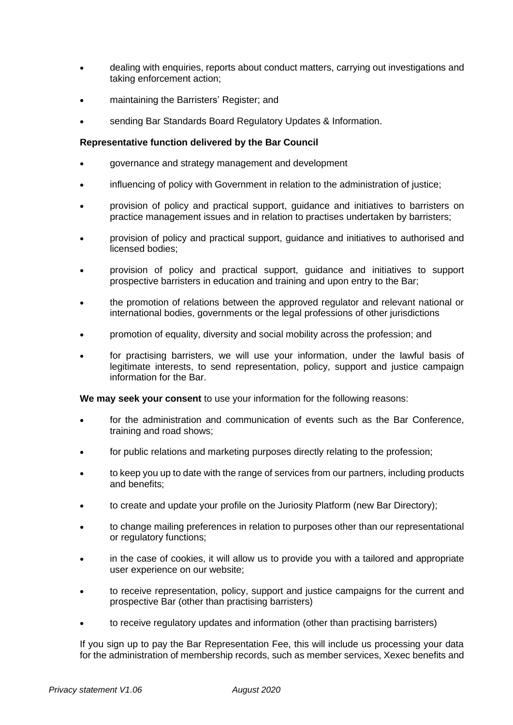- dealing with enquiries, reports about conduct matters, carrying out investigations and taking enforcement action;
- maintaining the Barristers' Register; and
- sending Bar Standards Board Regulatory Updates & Information.

## **Representative function delivered by the Bar Council**

- governance and strategy management and development
- influencing of policy with Government in relation to the administration of justice;
- provision of policy and practical support, guidance and initiatives to barristers on practice management issues and in relation to practises undertaken by barristers;
- provision of policy and practical support, guidance and initiatives to authorised and licensed bodies;
- provision of policy and practical support, guidance and initiatives to support prospective barristers in education and training and upon entry to the Bar;
- the promotion of relations between the approved regulator and relevant national or international bodies, governments or the legal professions of other jurisdictions
- promotion of equality, diversity and social mobility across the profession; and
- for practising barristers, we will use your information, under the lawful basis of legitimate interests, to send representation, policy, support and justice campaign information for the Bar.

**We may seek your consent** to use your information for the following reasons:

- for the administration and communication of events such as the Bar Conference, training and road shows;
- for public relations and marketing purposes directly relating to the profession;
- to keep you up to date with the range of services from our partners, including products and benefits;
- to create and update your profile on the Juriosity Platform (new Bar Directory);
- to change mailing preferences in relation to purposes other than our representational or regulatory functions;
- in the case of cookies, it will allow us to provide you with a tailored and appropriate user experience on our website;
- to receive representation, policy, support and justice campaigns for the current and prospective Bar (other than practising barristers)
- to receive regulatory updates and information (other than practising barristers)

If you sign up to pay the Bar Representation Fee, this will include us processing your data for the administration of membership records, such as member services, Xexec benefits and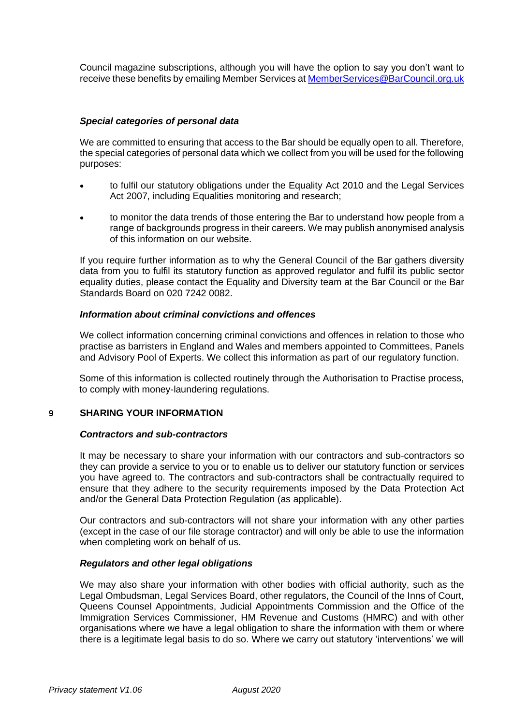Council magazine subscriptions, although you will have the option to say you don't want to receive these benefits by emailing Member Services a[t MemberServices@BarCouncil.org.uk](mailto:MemberServices@BarCouncil.org.uk)

## *Special categories of personal data*

We are committed to ensuring that access to the Bar should be equally open to all. Therefore, the special categories of personal data which we collect from you will be used for the following purposes:

- to fulfil our statutory obligations under the Equality Act 2010 and the Legal Services Act 2007, including Equalities monitoring and research;
- to monitor the data trends of those entering the Bar to understand how people from a range of backgrounds progress in their careers. We may publish anonymised analysis of this information on our website.

If you require further information as to why the General Council of the Bar gathers diversity data from you to fulfil its statutory function as approved regulator and fulfil its public sector equality duties, please contact the Equality and Diversity team at the Bar Council or the Bar Standards Board on 020 7242 0082.

## *Information about criminal convictions and offences*

We collect information concerning criminal convictions and offences in relation to those who practise as barristers in England and Wales and members appointed to Committees, Panels and Advisory Pool of Experts. We collect this information as part of our regulatory function.

Some of this information is collected routinely through the Authorisation to Practise process, to comply with money-laundering regulations.

## **9 SHARING YOUR INFORMATION**

### *Contractors and sub-contractors*

It may be necessary to share your information with our contractors and sub-contractors so they can provide a service to you or to enable us to deliver our statutory function or services you have agreed to. The contractors and sub-contractors shall be contractually required to ensure that they adhere to the security requirements imposed by the Data Protection Act and/or the General Data Protection Regulation (as applicable).

Our contractors and sub-contractors will not share your information with any other parties (except in the case of our file storage contractor) and will only be able to use the information when completing work on behalf of us.

### *Regulators and other legal obligations*

We may also share your information with other bodies with official authority, such as the Legal Ombudsman, Legal Services Board, other regulators, the Council of the Inns of Court, Queens Counsel Appointments, Judicial Appointments Commission and the Office of the Immigration Services Commissioner, HM Revenue and Customs (HMRC) and with other organisations where we have a legal obligation to share the information with them or where there is a legitimate legal basis to do so. Where we carry out statutory 'interventions' we will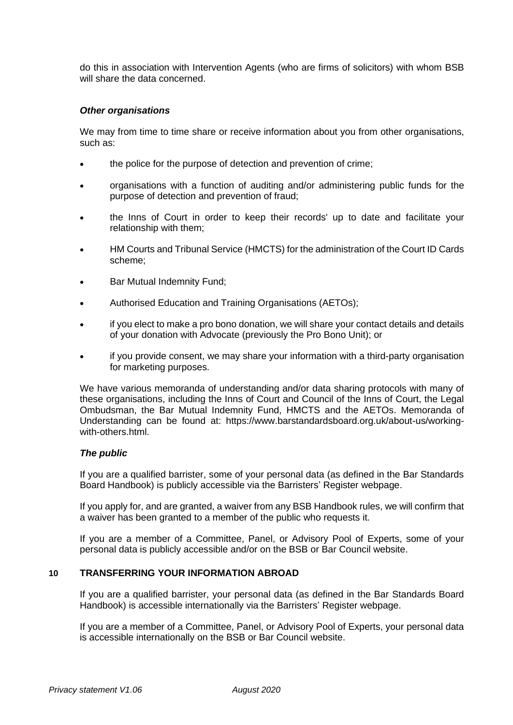do this in association with Intervention Agents (who are firms of solicitors) with whom BSB will share the data concerned.

## *Other organisations*

We may from time to time share or receive information about you from other organisations. such as:

- the police for the purpose of detection and prevention of crime;
- organisations with a function of auditing and/or administering public funds for the purpose of detection and prevention of fraud;
- the Inns of Court in order to keep their records' up to date and facilitate your relationship with them;
- HM Courts and Tribunal Service (HMCTS) for the administration of the Court ID Cards scheme;
- Bar Mutual Indemnity Fund;
- Authorised Education and Training Organisations (AETOs);
- if you elect to make a pro bono donation, we will share your contact details and details of your donation with Advocate (previously the Pro Bono Unit); or
- if you provide consent, we may share your information with a third-party organisation for marketing purposes.

We have various memoranda of understanding and/or data sharing protocols with many of these organisations, including the Inns of Court and Council of the Inns of Court, the Legal Ombudsman, the Bar Mutual Indemnity Fund, HMCTS and the AETOs. Memoranda of Understanding can be found at: https://www.barstandardsboard.org.uk/about-us/workingwith-others.html.

### *The public*

If you are a qualified barrister, some of your personal data (as defined in the Bar Standards Board Handbook) is publicly accessible via the Barristers' Register webpage.

If you apply for, and are granted, a waiver from any BSB Handbook rules, we will confirm that a waiver has been granted to a member of the public who requests it.

If you are a member of a Committee, Panel, or Advisory Pool of Experts, some of your personal data is publicly accessible and/or on the BSB or Bar Council website.

### **10 TRANSFERRING YOUR INFORMATION ABROAD**

If you are a qualified barrister, your personal data (as defined in the Bar Standards Board Handbook) is accessible internationally via the Barristers' Register webpage.

If you are a member of a Committee, Panel, or Advisory Pool of Experts, your personal data is accessible internationally on the BSB or Bar Council website.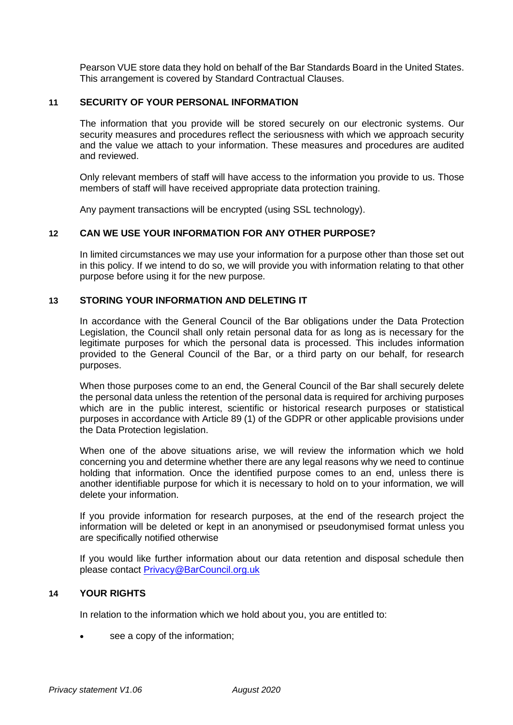Pearson VUE store data they hold on behalf of the Bar Standards Board in the United States. This arrangement is covered by Standard Contractual Clauses.

## **11 SECURITY OF YOUR PERSONAL INFORMATION**

The information that you provide will be stored securely on our electronic systems. Our security measures and procedures reflect the seriousness with which we approach security and the value we attach to your information. These measures and procedures are audited and reviewed.

Only relevant members of staff will have access to the information you provide to us. Those members of staff will have received appropriate data protection training.

Any payment transactions will be encrypted (using SSL technology).

## **12 CAN WE USE YOUR INFORMATION FOR ANY OTHER PURPOSE?**

In limited circumstances we may use your information for a purpose other than those set out in this policy. If we intend to do so, we will provide you with information relating to that other purpose before using it for the new purpose.

## **13 STORING YOUR INFORMATION AND DELETING IT**

In accordance with the General Council of the Bar obligations under the Data Protection Legislation, the Council shall only retain personal data for as long as is necessary for the legitimate purposes for which the personal data is processed. This includes information provided to the General Council of the Bar, or a third party on our behalf, for research purposes.

When those purposes come to an end, the General Council of the Bar shall securely delete the personal data unless the retention of the personal data is required for archiving purposes which are in the public interest, scientific or historical research purposes or statistical purposes in accordance with Article 89 (1) of the GDPR or other applicable provisions under the Data Protection legislation.

When one of the above situations arise, we will review the information which we hold concerning you and determine whether there are any legal reasons why we need to continue holding that information. Once the identified purpose comes to an end, unless there is another identifiable purpose for which it is necessary to hold on to your information, we will delete your information.

If you provide information for research purposes, at the end of the research project the information will be deleted or kept in an anonymised or pseudonymised format unless you are specifically notified otherwise

If you would like further information about our data retention and disposal schedule then please contact [Privacy@BarCouncil.org.uk](mailto:Privacy@BarCouncil.org.uk)

## **14 YOUR RIGHTS**

In relation to the information which we hold about you, you are entitled to:

see a copy of the information: